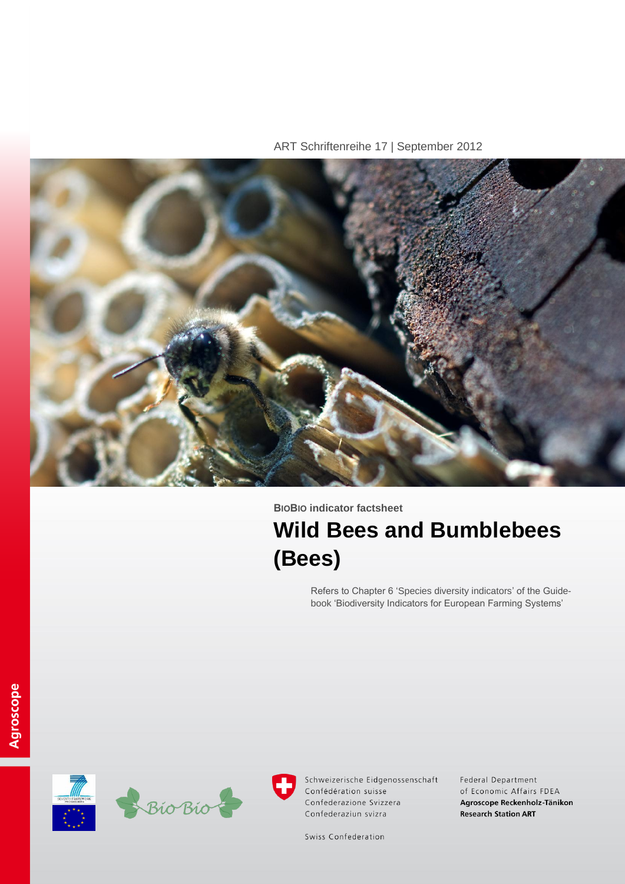ART Schriftenreihe 17 | September 2012



**BIOBIO indicator factsheet**

# **Wild Bees and Bumblebees (Bees)**

Refers to Chapter 6 'Species diversity indicators' of the Guidebook 'Biodiversity Indicators for European Farming Systems'





Schweizerische Eidgenossenschaft Confédération suisse Confederazione Svizzera Confederaziun svizra

Federal Department of Economic Affairs FDEA Agroscope Reckenholz-Tänikon **Research Station ART** 

Swiss Confederation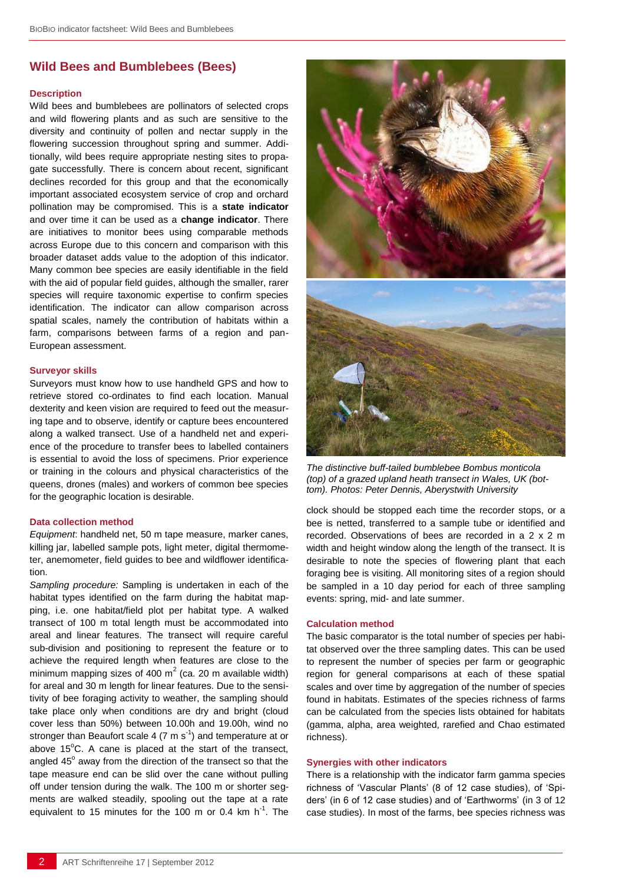## **Wild Bees and Bumblebees (Bees)**

#### **Description**

Wild bees and bumblebees are pollinators of selected crops and wild flowering plants and as such are sensitive to the diversity and continuity of pollen and nectar supply in the flowering succession throughout spring and summer. Additionally, wild bees require appropriate nesting sites to propagate successfully. There is concern about recent, significant declines recorded for this group and that the economically important associated ecosystem service of crop and orchard pollination may be compromised. This is a **state indicator** and over time it can be used as a **change indicator**. There are initiatives to monitor bees using comparable methods across Europe due to this concern and comparison with this broader dataset adds value to the adoption of this indicator. Many common bee species are easily identifiable in the field with the aid of popular field guides, although the smaller, rarer species will require taxonomic expertise to confirm species identification. The indicator can allow comparison across spatial scales, namely the contribution of habitats within a farm, comparisons between farms of a region and pan-European assessment.

#### **Surveyor skills**

Surveyors must know how to use handheld GPS and how to retrieve stored co-ordinates to find each location. Manual dexterity and keen vision are required to feed out the measuring tape and to observe, identify or capture bees encountered along a walked transect. Use of a handheld net and experience of the procedure to transfer bees to labelled containers is essential to avoid the loss of specimens. Prior experience or training in the colours and physical characteristics of the queens, drones (males) and workers of common bee species for the geographic location is desirable.

### **Data collection method**

*Equipment*: handheld net, 50 m tape measure, marker canes, killing jar, labelled sample pots, light meter, digital thermometer, anemometer, field guides to bee and wildflower identification.

*Sampling procedure:* Sampling is undertaken in each of the habitat types identified on the farm during the habitat mapping, i.e. one habitat/field plot per habitat type. A walked transect of 100 m total length must be accommodated into areal and linear features. The transect will require careful sub-division and positioning to represent the feature or to achieve the required length when features are close to the minimum mapping sizes of 400 m<sup>2</sup> (ca. 20 m available width) for areal and 30 m length for linear features. Due to the sensitivity of bee foraging activity to weather, the sampling should take place only when conditions are dry and bright (cloud cover less than 50%) between 10.00h and 19.00h, wind no stronger than Beaufort scale 4 (7 m s<sup>-1</sup>) and temperature at or above  $15^{\circ}$ C. A cane is placed at the start of the transect, angled  $45^{\circ}$  away from the direction of the transect so that the tape measure end can be slid over the cane without pulling off under tension during the walk. The 100 m or shorter segments are walked steadily, spooling out the tape at a rate equivalent to 15 minutes for the 100 m or 0.4 km  $h^{-1}$ . The



*The distinctive buff-tailed bumblebee Bombus monticola (top) of a grazed upland heath transect in Wales, UK (bottom). Photos: Peter Dennis, Aberystwith University*

clock should be stopped each time the recorder stops, or a bee is netted, transferred to a sample tube or identified and recorded. Observations of bees are recorded in a 2 x 2 m width and height window along the length of the transect. It is desirable to note the species of flowering plant that each foraging bee is visiting. All monitoring sites of a region should be sampled in a 10 day period for each of three sampling events: spring, mid- and late summer.

### **Calculation method**

The basic comparator is the total number of species per habitat observed over the three sampling dates. This can be used to represent the number of species per farm or geographic region for general comparisons at each of these spatial scales and over time by aggregation of the number of species found in habitats. Estimates of the species richness of farms can be calculated from the species lists obtained for habitats (gamma, alpha, area weighted, rarefied and Chao estimated richness).

## **Synergies with other indicators**

There is a relationship with the indicator farm gamma species richness of 'Vascular Plants' (8 of 12 case studies), of 'Spiders' (in 6 of 12 case studies) and of 'Earthworms' (in 3 of 12 case studies). In most of the farms, bee species richness was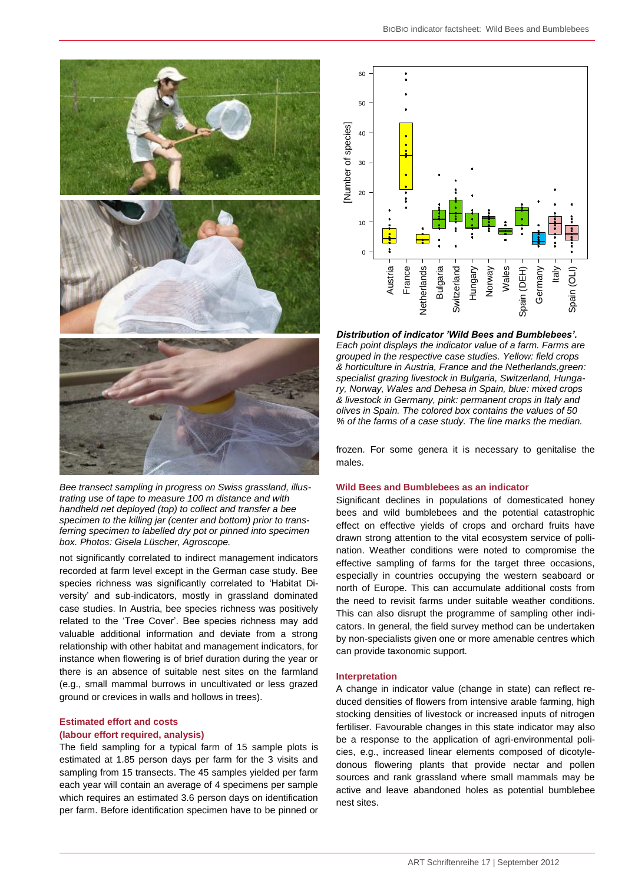

*Bee transect sampling in progress on Swiss grassland, illustrating use of tape to measure 100 m distance and with handheld net deployed (top) to collect and transfer a bee specimen to the killing jar (center and bottom) prior to transferring specimen to labelled dry pot or pinned into specimen box. Photos: Gisela Lüscher, Agroscope.*

not significantly correlated to indirect management indicators recorded at farm level except in the German case study. Bee species richness was significantly correlated to 'Habitat Diversity' and sub-indicators, mostly in grassland dominated case studies. In Austria, bee species richness was positively related to the 'Tree Cover'. Bee species richness may add valuable additional information and deviate from a strong relationship with other habitat and management indicators, for instance when flowering is of brief duration during the year or there is an absence of suitable nest sites on the farmland (e.g., small mammal burrows in uncultivated or less grazed ground or crevices in walls and hollows in trees).

## **Estimated effort and costs**

## **(labour effort required, analysis)**

The field sampling for a typical farm of 15 sample plots is estimated at 1.85 person days per farm for the 3 visits and sampling from 15 transects. The 45 samples yielded per farm each year will contain an average of 4 specimens per sample which requires an estimated 3.6 person days on identification per farm. Before identification specimen have to be pinned or



*Distribution of indicator 'Wild Bees and Bumblebees'. Each point displays the indicator value of a farm. Farms are grouped in the respective case studies. Yellow: field crops & horticulture in Austria, France and the Netherlands,green: specialist grazing livestock in Bulgaria, Switzerland, Hungary, Norway, Wales and Dehesa in Spain, blue: mixed crops & livestock in Germany, pink: permanent crops in Italy and olives in Spain. The colored box contains the values of 50 % of the farms of a case study. The line marks the median.*

frozen. For some genera it is necessary to genitalise the males.

## **Wild Bees and Bumblebees as an indicator**

Significant declines in populations of domesticated honey bees and wild bumblebees and the potential catastrophic effect on effective yields of crops and orchard fruits have drawn strong attention to the vital ecosystem service of pollination. Weather conditions were noted to compromise the effective sampling of farms for the target three occasions, especially in countries occupying the western seaboard or north of Europe. This can accumulate additional costs from the need to revisit farms under suitable weather conditions. This can also disrupt the programme of sampling other indicators. In general, the field survey method can be undertaken by non-specialists given one or more amenable centres which can provide taxonomic support. The site of the control of the method of the method is a simple the method of the method is a simple of the method of all the signal system of the indicator will denote the indicator of the method of all the method of all

### **Interpretation**

A change in indicator value (change in state) can reflect reduced densities of flowers from intensive arable farming, high stocking densities of livestock or increased inputs of nitrogen fertiliser. Favourable changes in this state indicator may also be a response to the application of agri-environmental policies, e.g., increased linear elements composed of dicotyledonous flowering plants that provide nectar and pollen sources and rank grassland where small mammals may be active and leave abandoned holes as potential bumblebee